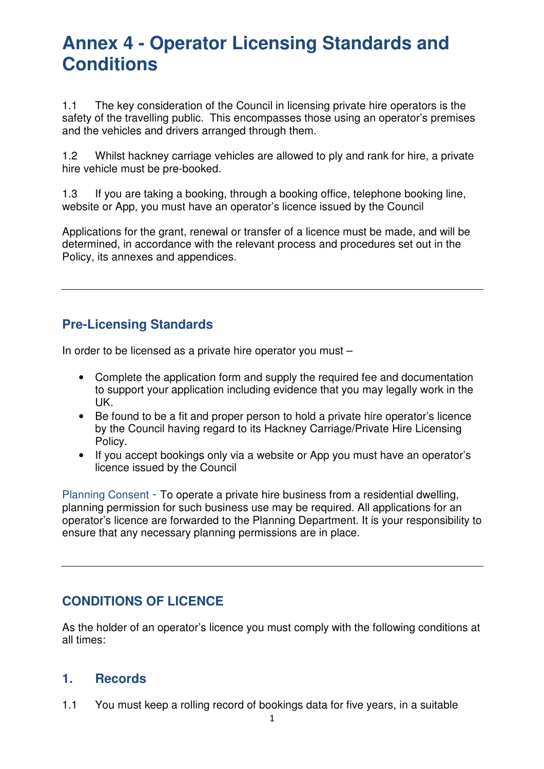1.1 The key consideration of the Council in licensing private hire operators is the safety of the travelling public. This encompasses those using an operator's premises and the vehicles and drivers arranged through them.

1.2 Whilst hackney carriage vehicles are allowed to ply and rank for hire, a private hire vehicle must be pre-booked.

1.3 If you are taking a booking, through a booking office, telephone booking line, website or App, you must have an operator's licence issued by the Council

Applications for the grant, renewal or transfer of a licence must be made, and will be determined, in accordance with the relevant process and procedures set out in the Policy, its annexes and appendices.

## **Pre-Licensing Standards**

In order to be licensed as a private hire operator you must –

- Complete the application form and supply the required fee and documentation to support your application including evidence that you may legally work in the UK.
- Be found to be a fit and proper person to hold a private hire operator's licence by the Council having regard to its Hackney Carriage/Private Hire Licensing Policy.
- If you accept bookings only via a website or App you must have an operator's licence issued by the Council

Planning Consent - To operate a private hire business from a residential dwelling, planning permission for such business use may be required. All applications for an operator's licence are forwarded to the Planning Department. It is your responsibility to ensure that any necessary planning permissions are in place.

# **CONDITIONS OF LICENCE**

As the holder of an operator's licence you must comply with the following conditions at all times:

#### **1. Records**

1.1 You must keep a rolling record of bookings data for five years, in a suitable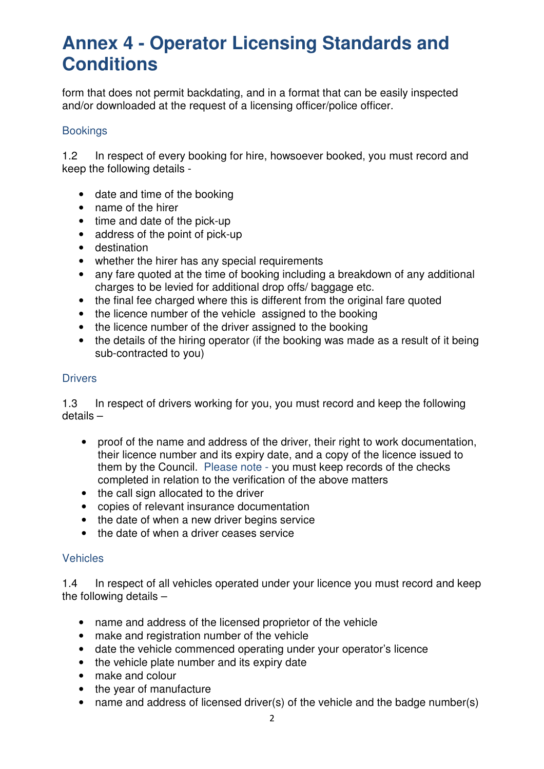form that does not permit backdating, and in a format that can be easily inspected and/or downloaded at the request of a licensing officer/police officer.

#### **Bookings**

1.2 In respect of every booking for hire, howsoever booked, you must record and keep the following details -

- date and time of the booking
- name of the hirer
- time and date of the pick-up
- address of the point of pick-up
- destination
- whether the hirer has any special requirements
- any fare quoted at the time of booking including a breakdown of any additional charges to be levied for additional drop offs/ baggage etc.
- the final fee charged where this is different from the original fare quoted
- the licence number of the vehicle assigned to the booking
- the licence number of the driver assigned to the booking
- the details of the hiring operator (if the booking was made as a result of it being sub-contracted to you)

#### **Drivers**

1.3 In respect of drivers working for you, you must record and keep the following details –

- proof of the name and address of the driver, their right to work documentation, their licence number and its expiry date, and a copy of the licence issued to them by the Council. Please note - you must keep records of the checks completed in relation to the verification of the above matters
- the call sign allocated to the driver
- copies of relevant insurance documentation
- the date of when a new driver begins service
- the date of when a driver ceases service

#### Vehicles

1.4 In respect of all vehicles operated under your licence you must record and keep the following details –

- name and address of the licensed proprietor of the vehicle
- make and registration number of the vehicle
- date the vehicle commenced operating under your operator's licence
- the vehicle plate number and its expiry date
- make and colour
- the year of manufacture
- name and address of licensed driver(s) of the vehicle and the badge number(s)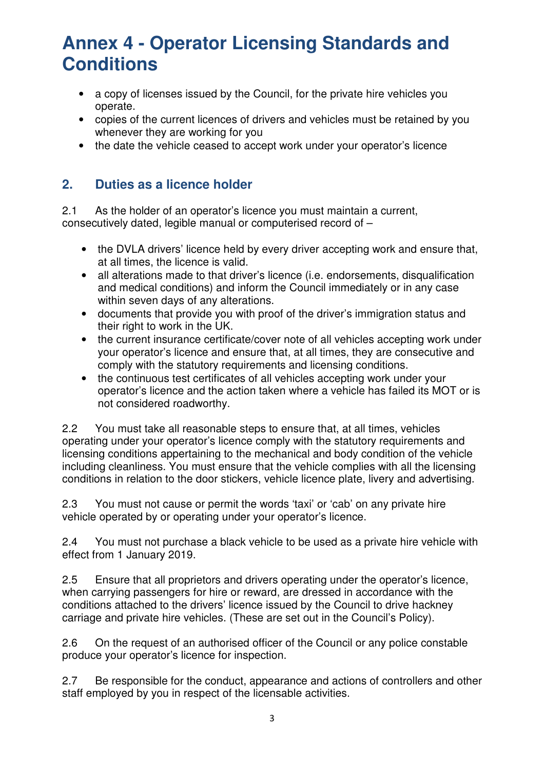- a copy of licenses issued by the Council, for the private hire vehicles you operate.
- copies of the current licences of drivers and vehicles must be retained by you whenever they are working for you
- the date the vehicle ceased to accept work under your operator's licence

### **2. Duties as a licence holder**

2.1 As the holder of an operator's licence you must maintain a current, consecutively dated, legible manual or computerised record of –

- the DVLA drivers' licence held by every driver accepting work and ensure that, at all times, the licence is valid.
- all alterations made to that driver's licence (i.e. endorsements, disqualification and medical conditions) and inform the Council immediately or in any case within seven days of any alterations.
- documents that provide you with proof of the driver's immigration status and their right to work in the UK.
- the current insurance certificate/cover note of all vehicles accepting work under your operator's licence and ensure that, at all times, they are consecutive and comply with the statutory requirements and licensing conditions.
- the continuous test certificates of all vehicles accepting work under your operator's licence and the action taken where a vehicle has failed its MOT or is not considered roadworthy.

2.2 You must take all reasonable steps to ensure that, at all times, vehicles operating under your operator's licence comply with the statutory requirements and licensing conditions appertaining to the mechanical and body condition of the vehicle including cleanliness. You must ensure that the vehicle complies with all the licensing conditions in relation to the door stickers, vehicle licence plate, livery and advertising.

2.3 You must not cause or permit the words 'taxi' or 'cab' on any private hire vehicle operated by or operating under your operator's licence.

2.4 You must not purchase a black vehicle to be used as a private hire vehicle with effect from 1 January 2019.

2.5 Ensure that all proprietors and drivers operating under the operator's licence, when carrying passengers for hire or reward, are dressed in accordance with the conditions attached to the drivers' licence issued by the Council to drive hackney carriage and private hire vehicles. (These are set out in the Council's Policy).

2.6 On the request of an authorised officer of the Council or any police constable produce your operator's licence for inspection.

2.7 Be responsible for the conduct, appearance and actions of controllers and other staff employed by you in respect of the licensable activities.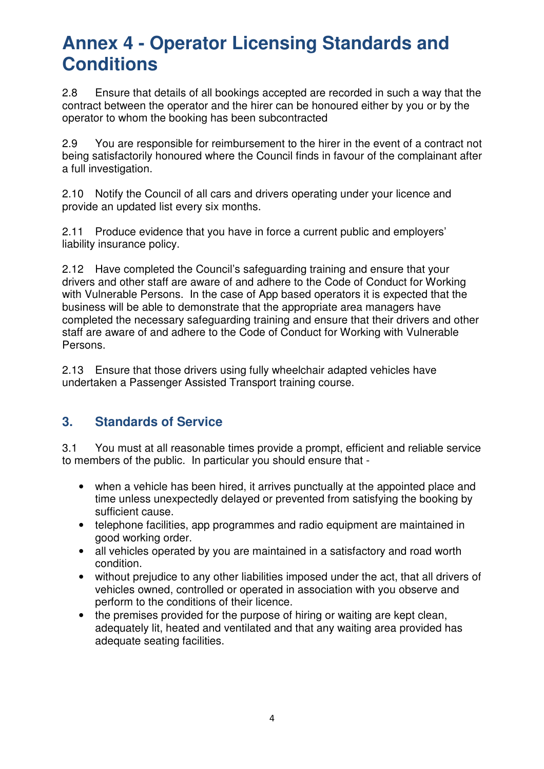2.8 Ensure that details of all bookings accepted are recorded in such a way that the contract between the operator and the hirer can be honoured either by you or by the operator to whom the booking has been subcontracted

2.9 You are responsible for reimbursement to the hirer in the event of a contract not being satisfactorily honoured where the Council finds in favour of the complainant after a full investigation.

2.10 Notify the Council of all cars and drivers operating under your licence and provide an updated list every six months.

2.11 Produce evidence that you have in force a current public and employers' liability insurance policy.

2.12 Have completed the Council's safeguarding training and ensure that your drivers and other staff are aware of and adhere to the Code of Conduct for Working with Vulnerable Persons. In the case of App based operators it is expected that the business will be able to demonstrate that the appropriate area managers have completed the necessary safeguarding training and ensure that their drivers and other staff are aware of and adhere to the Code of Conduct for Working with Vulnerable Persons.

2.13 Ensure that those drivers using fully wheelchair adapted vehicles have undertaken a Passenger Assisted Transport training course.

### **3. Standards of Service**

3.1 You must at all reasonable times provide a prompt, efficient and reliable service to members of the public. In particular you should ensure that -

- when a vehicle has been hired, it arrives punctually at the appointed place and time unless unexpectedly delayed or prevented from satisfying the booking by sufficient cause.
- telephone facilities, app programmes and radio equipment are maintained in good working order.
- all vehicles operated by you are maintained in a satisfactory and road worth condition.
- without prejudice to any other liabilities imposed under the act, that all drivers of vehicles owned, controlled or operated in association with you observe and perform to the conditions of their licence.
- the premises provided for the purpose of hiring or waiting are kept clean, adequately lit, heated and ventilated and that any waiting area provided has adequate seating facilities.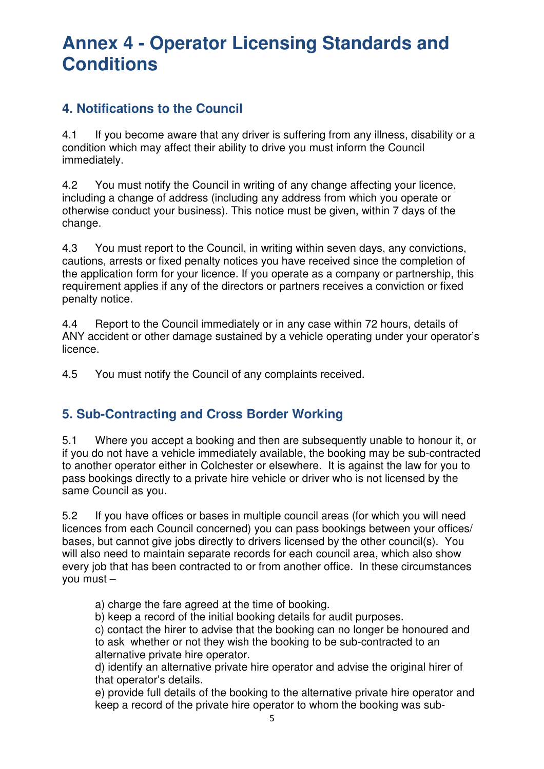## **4. Notifications to the Council**

4.1 If you become aware that any driver is suffering from any illness, disability or a condition which may affect their ability to drive you must inform the Council immediately.

4.2 You must notify the Council in writing of any change affecting your licence, including a change of address (including any address from which you operate or otherwise conduct your business). This notice must be given, within 7 days of the change.

4.3 You must report to the Council, in writing within seven days, any convictions, cautions, arrests or fixed penalty notices you have received since the completion of the application form for your licence. If you operate as a company or partnership, this requirement applies if any of the directors or partners receives a conviction or fixed penalty notice.

4.4 Report to the Council immediately or in any case within 72 hours, details of ANY accident or other damage sustained by a vehicle operating under your operator's licence.

4.5 You must notify the Council of any complaints received.

### **5. Sub-Contracting and Cross Border Working**

5.1 Where you accept a booking and then are subsequently unable to honour it, or if you do not have a vehicle immediately available, the booking may be sub-contracted to another operator either in Colchester or elsewhere. It is against the law for you to pass bookings directly to a private hire vehicle or driver who is not licensed by the same Council as you.

5.2 If you have offices or bases in multiple council areas (for which you will need licences from each Council concerned) you can pass bookings between your offices/ bases, but cannot give jobs directly to drivers licensed by the other council(s). You will also need to maintain separate records for each council area, which also show every job that has been contracted to or from another office. In these circumstances you must –

a) charge the fare agreed at the time of booking.

b) keep a record of the initial booking details for audit purposes.

c) contact the hirer to advise that the booking can no longer be honoured and to ask whether or not they wish the booking to be sub-contracted to an alternative private hire operator.

d) identify an alternative private hire operator and advise the original hirer of that operator's details.

e) provide full details of the booking to the alternative private hire operator and keep a record of the private hire operator to whom the booking was sub-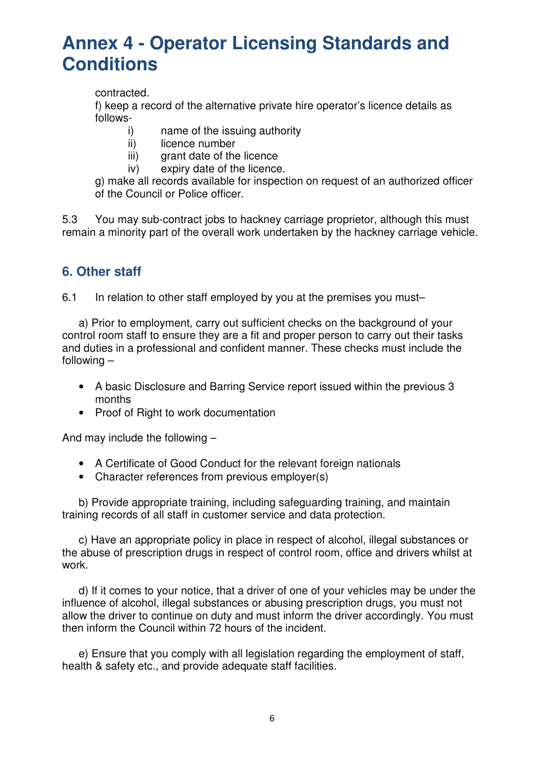contracted.

f) keep a record of the alternative private hire operator's licence details as follows-

- i) name of the issuing authority
- ii) licence number
- iii) grant date of the licence
- iv) expiry date of the licence.

g) make all records available for inspection on request of an authorized officer of the Council or Police officer.

5.3 You may sub-contract jobs to hackney carriage proprietor, although this must remain a minority part of the overall work undertaken by the hackney carriage vehicle.

#### **6. Other staff**

6.1 In relation to other staff employed by you at the premises you must–

a) Prior to employment, carry out sufficient checks on the background of your control room staff to ensure they are a fit and proper person to carry out their tasks and duties in a professional and confident manner. These checks must include the following –

- A basic Disclosure and Barring Service report issued within the previous 3 months
- Proof of Right to work documentation

And may include the following –

- A Certificate of Good Conduct for the relevant foreign nationals
- Character references from previous employer(s)

b) Provide appropriate training, including safeguarding training, and maintain training records of all staff in customer service and data protection.

c) Have an appropriate policy in place in respect of alcohol, illegal substances or the abuse of prescription drugs in respect of control room, office and drivers whilst at work.

d) If it comes to your notice, that a driver of one of your vehicles may be under the influence of alcohol, illegal substances or abusing prescription drugs, you must not allow the driver to continue on duty and must inform the driver accordingly. You must then inform the Council within 72 hours of the incident.

e) Ensure that you comply with all legislation regarding the employment of staff, health & safety etc., and provide adequate staff facilities.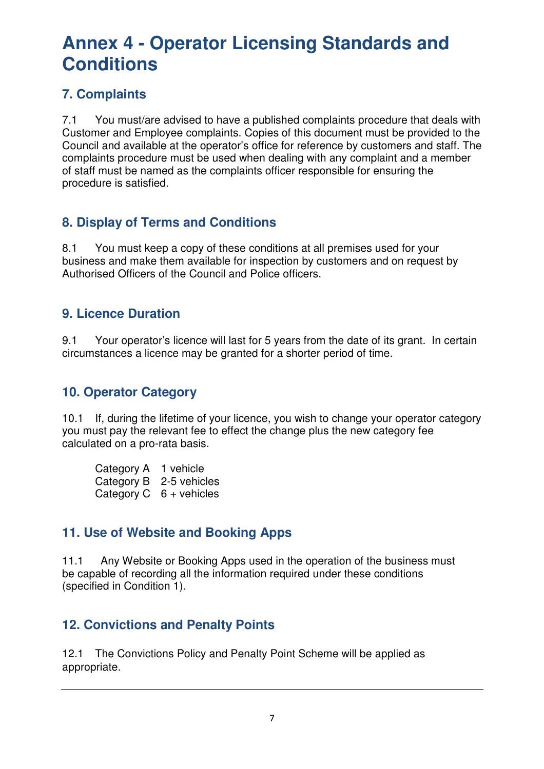# **7. Complaints**

7.1 You must/are advised to have a published complaints procedure that deals with Customer and Employee complaints. Copies of this document must be provided to the Council and available at the operator's office for reference by customers and staff. The complaints procedure must be used when dealing with any complaint and a member of staff must be named as the complaints officer responsible for ensuring the procedure is satisfied.

## **8. Display of Terms and Conditions**

8.1 You must keep a copy of these conditions at all premises used for your business and make them available for inspection by customers and on request by Authorised Officers of the Council and Police officers.

### **9. Licence Duration**

9.1 Your operator's licence will last for 5 years from the date of its grant. In certain circumstances a licence may be granted for a shorter period of time.

## **10. Operator Category**

10.1 If, during the lifetime of your licence, you wish to change your operator category you must pay the relevant fee to effect the change plus the new category fee calculated on a pro-rata basis.

| Category A 1 vehicle |                                 |
|----------------------|---------------------------------|
|                      | Category B 2-5 vehicles         |
|                      | Category $C \quad 6 +$ vehicles |

# **11. Use of Website and Booking Apps**

11.1 Any Website or Booking Apps used in the operation of the business must be capable of recording all the information required under these conditions (specified in Condition 1).

### **12. Convictions and Penalty Points**

12.1 The Convictions Policy and Penalty Point Scheme will be applied as appropriate.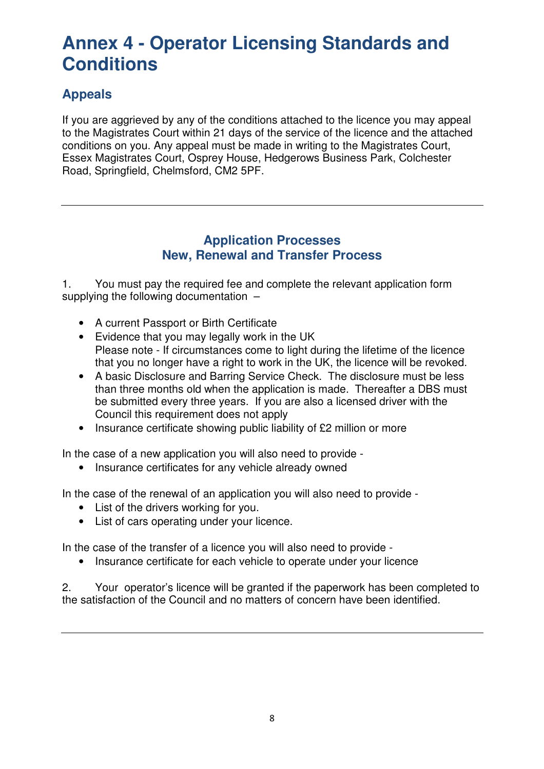# **Appeals**

If you are aggrieved by any of the conditions attached to the licence you may appeal to the Magistrates Court within 21 days of the service of the licence and the attached conditions on you. Any appeal must be made in writing to the Magistrates Court, Essex Magistrates Court, Osprey House, Hedgerows Business Park, Colchester Road, Springfield, Chelmsford, CM2 5PF.

#### **Application Processes New, Renewal and Transfer Process**

1. You must pay the required fee and complete the relevant application form supplying the following documentation -

- A current Passport or Birth Certificate
- Evidence that you may legally work in the UK Please note - If circumstances come to light during the lifetime of the licence that you no longer have a right to work in the UK, the licence will be revoked.
- A basic Disclosure and Barring Service Check. The disclosure must be less than three months old when the application is made. Thereafter a DBS must be submitted every three years. If you are also a licensed driver with the Council this requirement does not apply
- Insurance certificate showing public liability of £2 million or more

In the case of a new application you will also need to provide -

• Insurance certificates for any vehicle already owned

In the case of the renewal of an application you will also need to provide -

- List of the drivers working for you.
- List of cars operating under your licence.

In the case of the transfer of a licence you will also need to provide -

• Insurance certificate for each vehicle to operate under your licence

2. Your operator's licence will be granted if the paperwork has been completed to the satisfaction of the Council and no matters of concern have been identified.